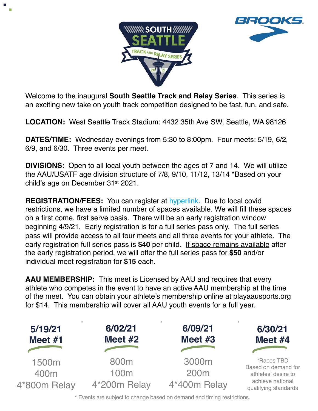



Welcome to the inaugural **South Seattle Track and Relay Series**. This series is an exciting new take on youth track competition designed to be fast, fun, and safe.

**LOCATION:** West Seattle Track Stadium: 4432 35th Ave SW, Seattle, WA 98126

**DATES/TIME:** Wednesday evenings from 5:30 to 8:00pm. Four meets: 5/19, 6/2, 6/9, and 6/30. Three events per meet.

**DIVISIONS:** Open to all local youth between the ages of 7 and 14. We will utilize the AAU/USATF age division structure of 7/8, 9/10, 11/12, 13/14 \*Based on your child's age on December 31st 2021.

**REGISTRATION/FEES:** You can register at hyperlink. Due to local covid restrictions, we have a limited number of spaces available. We will fill these spaces on a first come, first serve basis. There will be an early registration window beginning 4/9/21. Early registration is for a full series pass only. The full series pass will provide access to all four meets and all three events for your athlete. The early registration full series pass is **\$40** per child. If space remains available after the early registration period, we will offer the full series pass for **\$50** and/or individual meet registration for **\$15** each.

**AAU MEMBERSHIP:** This meet is Licensed by AAU and requires that every athlete who competes in the event to have an active AAU membership at the time of the meet. You can obtain your athlete's membership online at playaausports.org for \$14. This membership will cover all AAU youth events for a full year.



\* Events are subject to change based on demand and timing restrictions.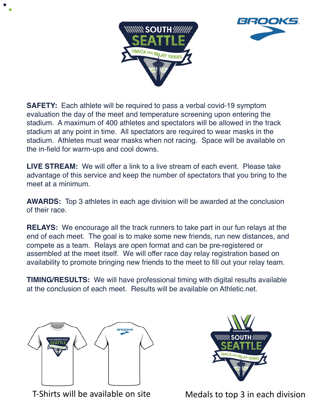



**SAFETY:** Each athlete will be required to pass a verbal covid-19 symptom evaluation the day of the meet and temperature screening upon entering the stadium. A maximum of 400 athletes and spectators will be allowed in the track stadium at any point in time. All spectators are required to wear masks in the stadium. Athletes must wear masks when not racing. Space will be available on the in-field for warm-ups and cool downs.

**LIVE STREAM:** We will offer a link to a live stream of each event. Please take advantage of this service and keep the number of spectators that you bring to the meet at a minimum.

**AWARDS:** Top 3 athletes in each age division will be awarded at the conclusion of their race.

**RELAYS:** We encourage all the track runners to take part in our fun relays at the end of each meet. The goal is to make some new friends, run new distances, and compete as a team. Relays are open format and can be pre-registered or assembled at the meet itself. We will offer race day relay registration based on availability to promote bringing new friends to the meet to fill out your relay team.

**TIMING/RESULTS:** We will have professional timing with digital results available at the conclusion of each meet. Results will be available on Athletic.net.





T-Shirts will be available on site Medals to top 3 in each division